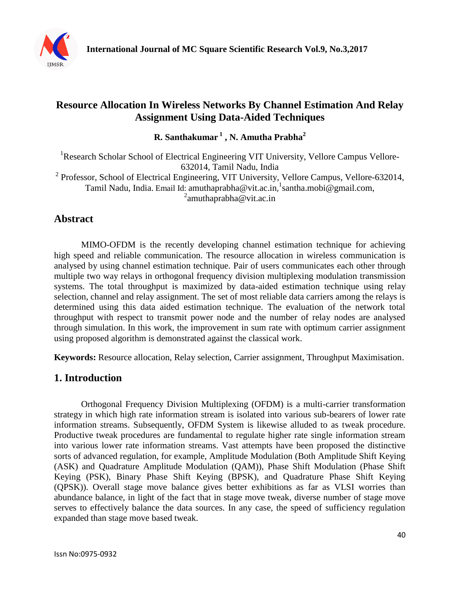

## **Resource Allocation In Wireless Networks By Channel Estimation And Relay Assignment Using Data-Aided Techniques**

**R. Santhakumar <sup>1</sup> , N. Amutha Prabha<sup>2</sup>**

<sup>1</sup>Research Scholar School of Electrical Engineering VIT University, Vellore Campus Vellore-632014, Tamil Nadu, India <sup>2</sup> Professor, School of Electrical Engineering, VIT University, Vellore Campus, Vellore-632014, Tamil Nadu, India. Email Id: [amuthaprabha@vit.ac.in](mailto:amuthaprabha@vit.ac.in), 1 santha.mobi@gmail.com,  $^2$ amuthaprabha@vit.ac.in

## **Abstract**

MIMO-OFDM is the recently developing channel estimation technique for achieving high speed and reliable communication. The resource allocation in wireless communication is analysed by using channel estimation technique. Pair of users communicates each other through multiple two way relays in orthogonal frequency division multiplexing modulation transmission systems. The total throughput is maximized by data-aided estimation technique using relay selection, channel and relay assignment. The set of most reliable data carriers among the relays is determined using this data aided estimation technique. The evaluation of the network total throughput with respect to transmit power node and the number of relay nodes are analysed through simulation. In this work, the improvement in sum rate with optimum carrier assignment using proposed algorithm is demonstrated against the classical work.

**Keywords:** Resource allocation, Relay selection, Carrier assignment, Throughput Maximisation.

## **1. Introduction**

Orthogonal Frequency Division Multiplexing (OFDM) is a multi-carrier transformation strategy in which high rate information stream is isolated into various sub-bearers of lower rate information streams. Subsequently, OFDM System is likewise alluded to as tweak procedure. Productive tweak procedures are fundamental to regulate higher rate single information stream into various lower rate information streams. Vast attempts have been proposed the distinctive sorts of advanced regulation, for example, Amplitude Modulation (Both Amplitude Shift Keying (ASK) and Quadrature Amplitude Modulation (QAM)), Phase Shift Modulation (Phase Shift Keying (PSK), Binary Phase Shift Keying (BPSK), and Quadrature Phase Shift Keying (QPSK)). Overall stage move balance gives better exhibitions as far as VLSI worries than abundance balance, in light of the fact that in stage move tweak, diverse number of stage move serves to effectively balance the data sources. In any case, the speed of sufficiency regulation expanded than stage move based tweak.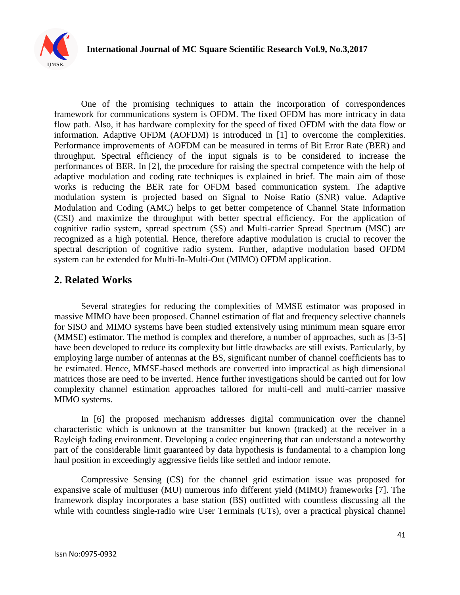

One of the promising techniques to attain the incorporation of correspondences framework for communications system is OFDM. The fixed OFDM has more intricacy in data flow path. Also, it has hardware complexity for the speed of fixed OFDM with the data flow or information. Adaptive OFDM (AOFDM) is introduced in [1] to overcome the complexities. Performance improvements of AOFDM can be measured in terms of Bit Error Rate (BER) and throughput. Spectral efficiency of the input signals is to be considered to increase the performances of BER. In [2], the procedure for raising the spectral competence with the help of adaptive modulation and coding rate techniques is explained in brief. The main aim of those works is reducing the BER rate for OFDM based communication system. The adaptive modulation system is projected based on Signal to Noise Ratio (SNR) value. Adaptive Modulation and Coding (AMC) helps to get better competence of Channel State Information (CSI) and maximize the throughput with better spectral efficiency. For the application of cognitive radio system, spread spectrum (SS) and Multi-carrier Spread Spectrum (MSC) are recognized as a high potential. Hence, therefore adaptive modulation is crucial to recover the spectral description of cognitive radio system. Further, adaptive modulation based OFDM system can be extended for Multi-In-Multi-Out (MIMO) OFDM application.

#### **2. Related Works**

Several strategies for reducing the complexities of MMSE estimator was proposed in massive MIMO have been proposed. Channel estimation of flat and frequency selective channels for SISO and MIMO systems have been studied extensively using minimum mean square error (MMSE) estimator. The method is complex and therefore, a number of approaches, such as [3-5] have been developed to reduce its complexity but little drawbacks are still exists. Particularly, by employing large number of antennas at the BS, significant number of channel coefficients has to be estimated. Hence, MMSE-based methods are converted into impractical as high dimensional matrices those are need to be inverted. Hence further investigations should be carried out for low complexity channel estimation approaches tailored for multi-cell and multi-carrier massive MIMO systems.

In [6] the proposed mechanism addresses digital communication over the channel characteristic which is unknown at the transmitter but known (tracked) at the receiver in a Rayleigh fading environment. Developing a codec engineering that can understand a noteworthy part of the considerable limit guaranteed by data hypothesis is fundamental to a champion long haul position in exceedingly aggressive fields like settled and indoor remote.

Compressive Sensing (CS) for the channel grid estimation issue was proposed for expansive scale of multiuser (MU) numerous info different yield (MIMO) frameworks [7]. The framework display incorporates a base station (BS) outfitted with countless discussing all the while with countless single-radio wire User Terminals (UTs), over a practical physical channel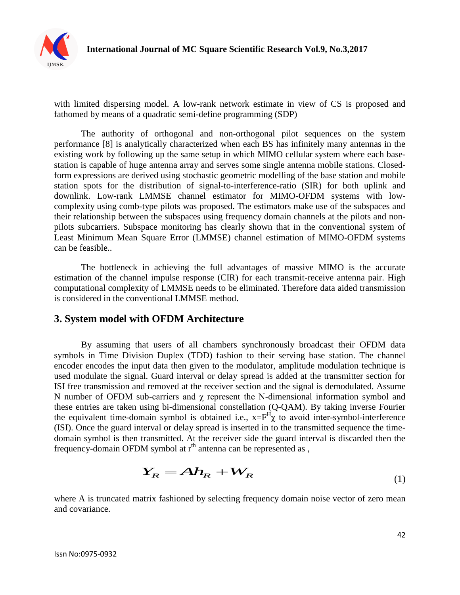

with limited dispersing model. A low-rank network estimate in view of CS is proposed and fathomed by means of a quadratic semi-define programming (SDP)

The authority of orthogonal and non-orthogonal pilot sequences on the system performance [8] is analytically characterized when each BS has infinitely many antennas in the existing work by following up the same setup in which MIMO cellular system where each basestation is capable of huge antenna array and serves some single antenna mobile stations. Closedform expressions are derived using stochastic geometric modelling of the base station and mobile station spots for the distribution of signal-to-interference-ratio (SIR) for both uplink and downlink. Low-rank LMMSE channel estimator for MIMO-OFDM systems with lowcomplexity using comb-type pilots was proposed. The estimators make use of the subspaces and their relationship between the subspaces using frequency domain channels at the pilots and nonpilots subcarriers. Subspace monitoring has clearly shown that in the conventional system of Least Minimum Mean Square Error (LMMSE) channel estimation of MIMO-OFDM systems can be feasible..

The bottleneck in achieving the full advantages of massive MIMO is the accurate estimation of the channel impulse response (CIR) for each transmit-receive antenna pair. High computational complexity of LMMSE needs to be eliminated. Therefore data aided transmission is considered in the conventional LMMSE method.

#### **3. System model with OFDM Architecture**

By assuming that users of all chambers synchronously broadcast their OFDM data symbols in Time Division Duplex (TDD) fashion to their serving base station. The channel encoder encodes the input data then given to the modulator, amplitude modulation technique is used modulate the signal. Guard interval or delay spread is added at the transmitter section for ISI free transmission and removed at the receiver section and the signal is demodulated. Assume N number of OFDM sub-carriers and  $\gamma$  represent the N-dimensional information symbol and these entries are taken using bi-dimensional constellation (Q-QAM). By taking inverse Fourier the equivalent time-domain symbol is obtained i.e.,  $x = F<sup>H</sup> \chi$  to avoid inter-symbol-interference (ISI). Once the guard interval or delay spread is inserted in to the transmitted sequence the timedomain symbol is then transmitted. At the receiver side the guard interval is discarded then the frequency-domain OFDM symbol at  $r<sup>th</sup>$  antenna can be represented as ,

$$
Y_R = A h_R + W_R
$$
 (1)

where A is truncated matrix fashioned by selecting frequency domain noise vector of zero mean and covariance.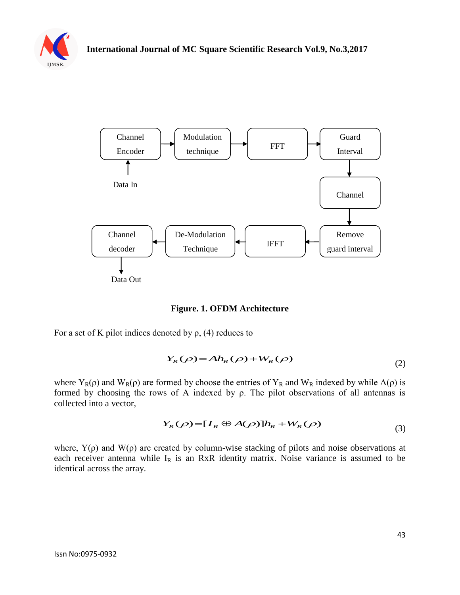



**Figure. 1. OFDM Architecture**

For a set of K pilot indices denoted by  $\rho$ , (4) reduces to

$$
Y_R(\rho) = A h_R(\rho) + W_R(\rho)
$$
\n(2)

where Y<sub>R</sub>( $\rho$ ) and W<sub>R</sub>( $\rho$ ) are formed by choose the entries of Y<sub>R</sub> and W<sub>R</sub> indexed by while A( $\rho$ ) is formed by choosing the rows of A indexed by  $\rho$ . The pilot observations of all antennas is collected into a vector,

$$
Y_R(\rho) = [I_R \oplus A(\rho)]h_R + W_R(\rho) \tag{3}
$$

where,  $Y(\rho)$  and  $W(\rho)$  are created by column-wise stacking of pilots and noise observations at each receiver antenna while  $I_R$  is an RxR identity matrix. Noise variance is assumed to be identical across the array.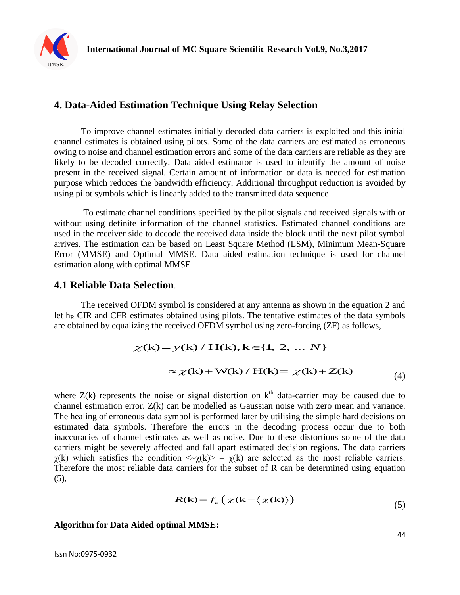

## **4. Data-Aided Estimation Technique Using Relay Selection**

To improve channel estimates initially decoded data carriers is exploited and this initial channel estimates is obtained using pilots. Some of the data carriers are estimated as erroneous owing to noise and channel estimation errors and some of the data carriers are reliable as they are likely to be decoded correctly. Data aided estimator is used to identify the amount of noise present in the received signal. Certain amount of information or data is needed for estimation purpose which reduces the bandwidth efficiency. Additional throughput reduction is avoided by using pilot symbols which is linearly added to the transmitted data sequence.

To estimate channel conditions specified by the pilot signals and received signals with or without using definite information of the channel statistics. Estimated channel conditions are used in the receiver side to decode the received data inside the block until the next pilot symbol arrives. The estimation can be based on Least Square Method (LSM), Minimum Mean-Square Error (MMSE) and Optimal MMSE. Data aided estimation technique is used for channel estimation along with optimal MMSE

#### **4.1 Reliable Data Selection**.

The received OFDM symbol is considered at any antenna as shown in the equation 2 and let  $h_R$  CIR and CFR estimates obtained using pilots. The tentative estimates of the data symbols are obtained by equalizing the received OFDM symbol using zero-forcing (ZF) as follows,

$$
\chi(k) = y(k) / H(k), k \in \{1, 2, ... N\}
$$
  

$$
\approx \chi(k) + W(k) / H(k) = \chi(k) + Z(k)
$$
 (4)

where  $Z(k)$  represents the noise or signal distortion on  $k<sup>th</sup>$  data-carrier may be caused due to channel estimation error. Z(k) can be modelled as Gaussian noise with zero mean and variance. The healing of erroneous data symbol is performed later by utilising the simple hard decisions on estimated data symbols. Therefore the errors in the decoding process occur due to both inaccuracies of channel estimates as well as noise. Due to these distortions some of the data carriers might be severely affected and fall apart estimated decision regions. The data carriers  $\chi$ (k) which satisfies the condition  $\langle \chi$ (k) =  $\chi$ (k) are selected as the most reliable carriers. Therefore the most reliable data carriers for the subset of R can be determined using equation (5),

$$
R(\mathbf{k}) = f_z \left( \chi(\mathbf{k} - \langle \chi(\mathbf{k}) \rangle) \right) \tag{5}
$$

#### **Algorithm for Data Aided optimal MMSE:**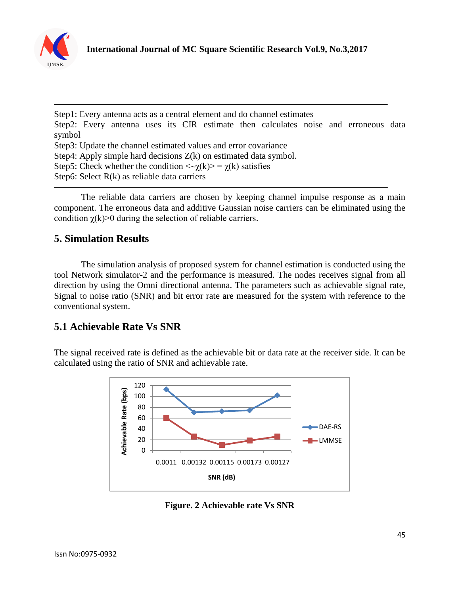

Step1: Every antenna acts as a central element and do channel estimates Step2: Every antenna uses its CIR estimate then calculates noise and erroneous data symbol Step3: Update the channel estimated values and error covariance Step4: Apply simple hard decisions  $Z(k)$  on estimated data symbol. Step5: Check whether the condition  $\langle \gamma(\mathbf{k}) \rangle = \gamma(\mathbf{k})$  satisfies Step6: Select R(k) as reliable data carriers

The reliable data carriers are chosen by keeping channel impulse response as a main component. The erroneous data and additive Gaussian noise carriers can be eliminated using the condition  $\gamma(k)$  during the selection of reliable carriers.

## **5. Simulation Results**

The simulation analysis of proposed system for channel estimation is conducted using the tool Network simulator-2 and the performance is measured. The nodes receives signal from all direction by using the Omni directional antenna. The parameters such as achievable signal rate, Signal to noise ratio (SNR) and bit error rate are measured for the system with reference to the conventional system.

## **5.1 Achievable Rate Vs SNR**

The signal received rate is defined as the achievable bit or data rate at the receiver side. It can be calculated using the ratio of SNR and achievable rate.



**Figure. 2 Achievable rate Vs SNR**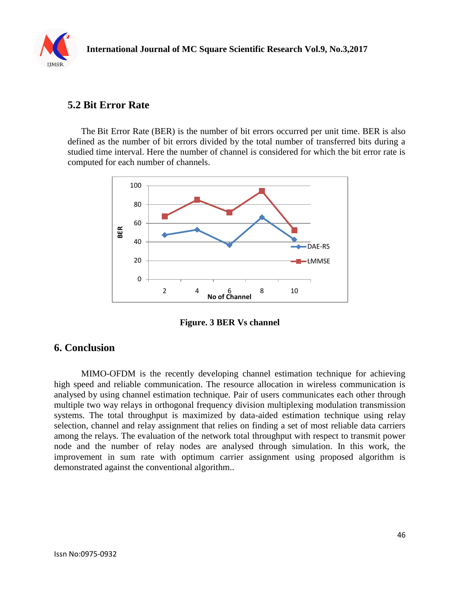

## **5.2 Bit Error Rate**

The Bit Error Rate (BER) is the number of bit errors occurred per unit time. BER is also defined as the number of bit errors divided by the total number of transferred bits during a studied time interval. Here the number of channel is considered for which the bit error rate is computed for each number of channels.



**Figure. 3 BER Vs channel**

## **6. Conclusion**

MIMO-OFDM is the recently developing channel estimation technique for achieving high speed and reliable communication. The resource allocation in wireless communication is analysed by using channel estimation technique. Pair of users communicates each other through multiple two way relays in orthogonal frequency division multiplexing modulation transmission systems. The total throughput is maximized by data-aided estimation technique using relay selection, channel and relay assignment that relies on finding a set of most reliable data carriers among the relays. The evaluation of the network total throughput with respect to transmit power node and the number of relay nodes are analysed through simulation. In this work, the improvement in sum rate with optimum carrier assignment using proposed algorithm is demonstrated against the conventional algorithm..